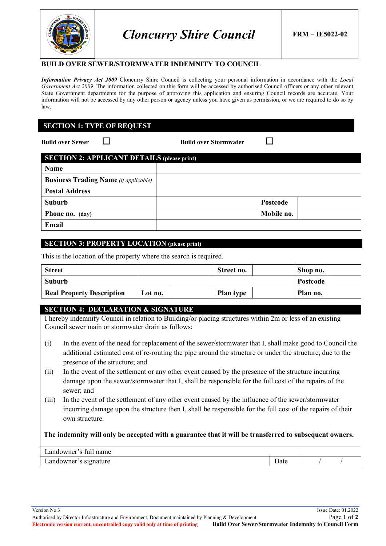

*Cloncurry Shire Council* **FRM – IE5022-02**

#### **BUILD OVER SEWER/STORMWATER INDEMNITY TO COUNCIL**

*Information Privacy Act 2009* Cloncurry Shire Council is collecting your personal information in accordance with the *Local Government Act 2009*. The information collected on this form will be accessed by authorised Council officers or any other relevant State Government departments for the purpose of approving this application and ensuring Council records are accurate. Your information will not be accessed by any other person or agency unless you have given us permission, or we are required to do so by law.

## **SECTION 1: TYPE OF REQUEST**

**Build over Sewer** □ **Build over Stormwater** □

| <b>SECTION 2: APPLICANT DETAILS (please print)</b> |            |  |  |
|----------------------------------------------------|------------|--|--|
| Name                                               |            |  |  |
| <b>Business Trading Name</b> (if applicable)       |            |  |  |
| <b>Postal Address</b>                              |            |  |  |
| Suburb                                             | Postcode   |  |  |
| Phone no. (day)                                    | Mobile no. |  |  |
| Email                                              |            |  |  |

## **SECTION 3: PROPERTY LOCATION (please print)**

This is the location of the property where the search is required.

| <b>Street</b>                    |         | Street no.       | Shop no. |  |
|----------------------------------|---------|------------------|----------|--|
| Suburb                           |         |                  | Postcode |  |
| <b>Real Property Description</b> | Lot no. | <b>Plan type</b> | Plan no. |  |

### **SECTION 4: DECLARATION & SIGNATURE**

I hereby indemnify Council in relation to Building/or placing structures within 2m or less of an existing Council sewer main or stormwater drain as follows:

- (i) In the event of the need for replacement of the sewer/stormwater that I, shall make good to Council the additional estimated cost of re-routing the pipe around the structure or under the structure, due to the presence of the structure; and
- (ii) In the event of the settlement or any other event caused by the presence of the structure incurring damage upon the sewer/stormwater that I, shall be responsible for the full cost of the repairs of the sewer; and
- (iii) In the event of the settlement of any other event caused by the influence of the sewer/stormwater incurring damage upon the structure then I, shall be responsible for the full cost of the repairs of their own structure.

**The indemnity will only be accepted with a guarantee that it will be transferred to subsequent owners.**

| wner<br>.and∈<br>-fuh<br>name |      |  |
|-------------------------------|------|--|
| andowner.<br>ture             | Date |  |